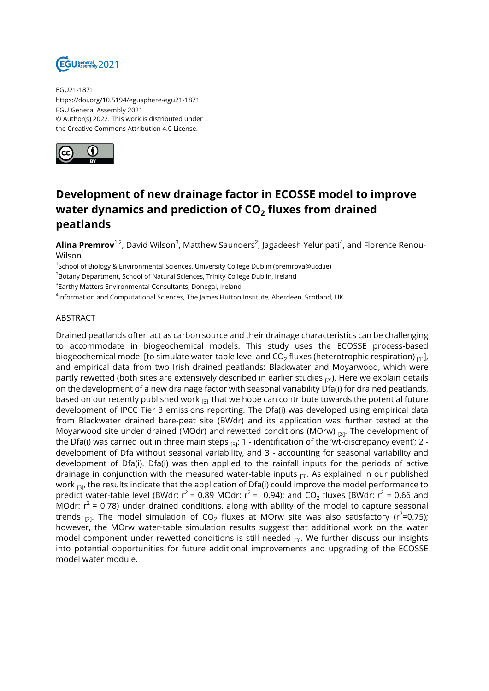

EGU21-1871 https://doi.org/10.5194/egusphere-egu21-1871 EGU General Assembly 2021 © Author(s) 2022. This work is distributed under the Creative Commons Attribution 4.0 License.



## **Development of new drainage factor in ECOSSE model to improve water dynamics and prediction of CO<sup>2</sup> fluxes from drained peatlands**

**Alina Premrov'**<sup>1,2</sup>, David Wilson<sup>3</sup>, Matthew Saunders<sup>2</sup>, Jagadeesh Yeluripati<sup>4</sup>, and Florence Renou-Wilson $1$ 

<sup>1</sup>School of Biology & Environmental Sciences, University College Dublin (premrova@ucd.ie)

<sup>2</sup>Botany Department, School of Natural Sciences, Trinity College Dublin, Ireland

 $^3$ Earthy Matters Environmental Consultants, Donegal, Ireland

 $^{\rm 4}$ Information and Computational Sciences, The James Hutton Institute, Aberdeen, Scotland, UK

## ABSTRACT

Drained peatlands often act as carbon source and their drainage characteristics can be challenging to accommodate in biogeochemical models. This study uses the ECOSSE process-based biogeochemical model [to simulate water-table level and CO $_2$  fluxes (heterotrophic respiration)  $_{\rm [1]}$ ], and empirical data from two Irish drained peatlands: Blackwater and Moyarwood, which were partly rewetted (both sites are extensively described in earlier studies  $_{[2]}$ ). Here we explain details on the development of a new drainage factor with seasonal variability Dfa(i) for drained peatlands, based on our recently published work  $_{[3]}$  that we hope can contribute towards the potential future development of IPCC Tier 3 emissions reporting. The Dfa(i) was developed using empirical data from Blackwater drained bare-peat site (BWdr) and its application was further tested at the Moyarwood site under drained (MOdr) and rewetted conditions (MOrw)  $_{\text{B}}$ . The development of the Dfa(i) was carried out in three main steps  $_{[3]}$ : 1 - identification of the 'wt-discrepancy event'; 2 development of Dfa without seasonal variability, and 3 - accounting for seasonal variability and development of Dfa(i). Dfa(i) was then applied to the rainfall inputs for the periods of active drainage in conjunction with the measured water-table inputs  $F<sub>31</sub>$ . As explained in our published work  $_{[3]}$ , the results indicate that the application of Dfa(i) could improve the model performance to predict water-table level (BWdr:  $r^2$  = 0.89 MOdr:  $r^2$  = 0.94); and CO<sub>2</sub> fluxes [BWdr:  $r^2$  = 0.66 and MOdr:  $r^2$  = 0.78) under drained conditions, along with ability of the model to capture seasonal trends <sub>[2]</sub>. The model simulation of CO<sub>2</sub> fluxes at MOrw site was also satisfactory (r<sup>2</sup>=0.75); however, the MOrw water-table simulation results suggest that additional work on the water model component under rewetted conditions is still needed  $_{[3]}$ . We further discuss our insights into potential opportunities for future additional improvements and upgrading of the ECOSSE model water module.